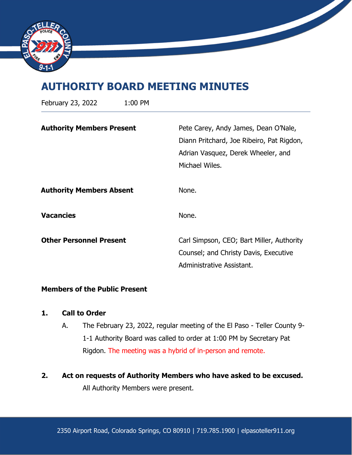

# **AUTHORITY BOARD MEETING MINUTES**

| February 23, 2022                | 1:00 PM |                                                                                                                                           |
|----------------------------------|---------|-------------------------------------------------------------------------------------------------------------------------------------------|
| <b>Authority Members Present</b> |         | Pete Carey, Andy James, Dean O'Nale,<br>Diann Pritchard, Joe Ribeiro, Pat Rigdon,<br>Adrian Vasquez, Derek Wheeler, and<br>Michael Wiles. |
| <b>Authority Members Absent</b>  |         | None.                                                                                                                                     |
| <b>Vacancies</b>                 |         | None.                                                                                                                                     |
| <b>Other Personnel Present</b>   |         | Carl Simpson, CEO; Bart Miller, Authority<br>Counsel; and Christy Davis, Executive<br>Administrative Assistant.                           |

## **Members of the Public Present**

## **1. Call to Order**

- A. The February 23, 2022, regular meeting of the El Paso Teller County 9- 1-1 Authority Board was called to order at 1:00 PM by Secretary Pat Rigdon. The meeting was a hybrid of in-person and remote.
- **2. Act on requests of Authority Members who have asked to be excused.**

All Authority Members were present.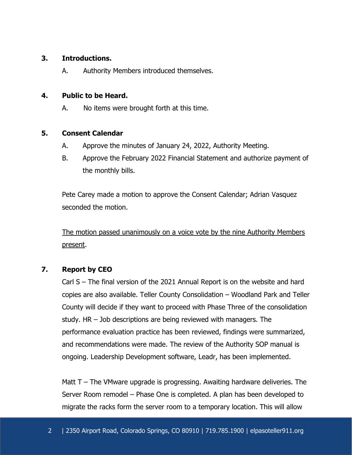## **3. Introductions.**

A. Authority Members introduced themselves.

## **4. Public to be Heard.**

A. No items were brought forth at this time.

## **5. Consent Calendar**

- A. Approve the minutes of January 24, 2022, Authority Meeting.
- B. Approve the February 2022 Financial Statement and authorize payment of the monthly bills.

Pete Carey made a motion to approve the Consent Calendar; Adrian Vasquez seconded the motion.

The motion passed unanimously on a voice vote by the nine Authority Members present.

# **7. Report by CEO**

Carl S – The final version of the 2021 Annual Report is on the website and hard copies are also available. Teller County Consolidation – Woodland Park and Teller County will decide if they want to proceed with Phase Three of the consolidation study. HR – Job descriptions are being reviewed with managers. The performance evaluation practice has been reviewed, findings were summarized, and recommendations were made. The review of the Authority SOP manual is ongoing. Leadership Development software, Leadr, has been implemented.

Matt T – The VMware upgrade is progressing. Awaiting hardware deliveries. The Server Room remodel – Phase One is completed. A plan has been developed to migrate the racks form the server room to a temporary location. This will allow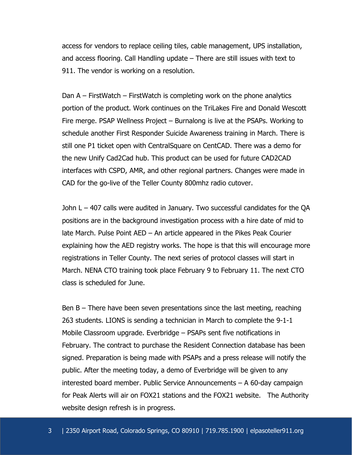access for vendors to replace ceiling tiles, cable management, UPS installation, and access flooring. Call Handling update – There are still issues with text to 911. The vendor is working on a resolution.

Dan A – FirstWatch – FirstWatch is completing work on the phone analytics portion of the product. Work continues on the TriLakes Fire and Donald Wescott Fire merge. PSAP Wellness Project – Burnalong is live at the PSAPs. Working to schedule another First Responder Suicide Awareness training in March. There is still one P1 ticket open with CentralSquare on CentCAD. There was a demo for the new Unify Cad2Cad hub. This product can be used for future CAD2CAD interfaces with CSPD, AMR, and other regional partners. Changes were made in CAD for the go-live of the Teller County 800mhz radio cutover.

John L – 407 calls were audited in January. Two successful candidates for the QA positions are in the background investigation process with a hire date of mid to late March. Pulse Point AED – An article appeared in the Pikes Peak Courier explaining how the AED registry works. The hope is that this will encourage more registrations in Teller County. The next series of protocol classes will start in March. NENA CTO training took place February 9 to February 11. The next CTO class is scheduled for June.

Ben B – There have been seven presentations since the last meeting, reaching 263 students. LIONS is sending a technician in March to complete the 9-1-1 Mobile Classroom upgrade. Everbridge – PSAPs sent five notifications in February. The contract to purchase the Resident Connection database has been signed. Preparation is being made with PSAPs and a press release will notify the public. After the meeting today, a demo of Everbridge will be given to any interested board member. Public Service Announcements – A 60-day campaign for Peak Alerts will air on FOX21 stations and the FOX21 website. The Authority website design refresh is in progress.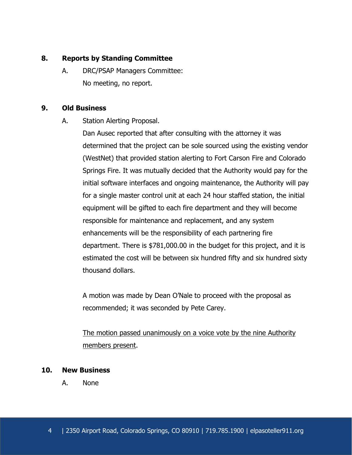## **8. Reports by Standing Committee**

A. DRC/PSAP Managers Committee: No meeting, no report.

## **9. Old Business**

A. Station Alerting Proposal.

Dan Ausec reported that after consulting with the attorney it was determined that the project can be sole sourced using the existing vendor (WestNet) that provided station alerting to Fort Carson Fire and Colorado Springs Fire. It was mutually decided that the Authority would pay for the initial software interfaces and ongoing maintenance, the Authority will pay for a single master control unit at each 24 hour staffed station, the initial equipment will be gifted to each fire department and they will become responsible for maintenance and replacement, and any system enhancements will be the responsibility of each partnering fire department. There is \$781,000.00 in the budget for this project, and it is estimated the cost will be between six hundred fifty and six hundred sixty thousand dollars.

A motion was made by Dean O'Nale to proceed with the proposal as recommended; it was seconded by Pete Carey.

The motion passed unanimously on a voice vote by the nine Authority members present.

### **10. New Business**

A. None